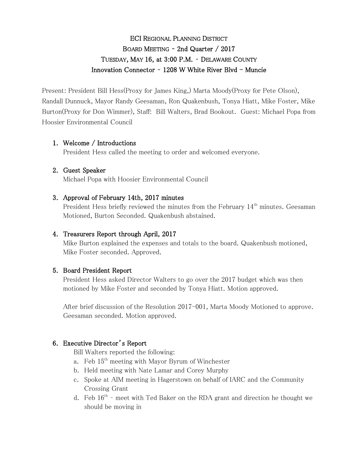# ECI REGIONAL PLANNING DISTRICT BOARD MEETING – 2nd Quarter / 2017 TUESDAY, MAY 16, at 3:00 P.M. – DELAWARE COUNTY Innovation Connector -  $1208$  W White River Blvd - Muncie

Present: President Bill Hess(Proxy for James King,) Marta Moody(Proxy for Pete Olson), Randall Dunnuck, Mayor Randy Geesaman, Ron Quakenbush, Tonya Hiatt, Mike Foster, Mike Burton(Proxy for Don Wimmer), Staff: Bill Walters, Brad Bookout. Guest: Michael Popa from Hoosier Environmental Council

# 1. Welcome / Introductions

President Hess called the meeting to order and welcomed everyone.

# 2. Guest Speaker

Michael Popa with Hoosier Environmental Council

# 3. Approval of February 14th, 2017 minutes

President Hess briefly reviewed the minutes from the February  $14<sup>th</sup>$  minutes. Geesaman Motioned, Burton Seconded. Quakenbush abstained.

### 4. Treasurers Report through April, 2017

Mike Burton explained the expenses and totals to the board. Quakenbush motioned, Mike Foster seconded. Approved.

### 5. Board President Report

President Hess asked Director Walters to go over the 2017 budget which was then motioned by Mike Foster and seconded by Tonya Hiatt. Motion approved.

After brief discussion of the Resolution 2017-001, Marta Moody Motioned to approve. Geesaman seconded. Motion approved.

# 6. Executive Director's Report

Bill Walters reported the following:

- a. Feb 15th meeting with Mayor Byrum of Winchester
- b. Held meeting with Nate Lamar and Corey Murphy
- c. Spoke at AIM meeting in Hagerstown on behalf of IARC and the Community Crossing Grant
- d. Feb  $16<sup>th</sup>$  meet with Ted Baker on the RDA grant and direction he thought we should be moving in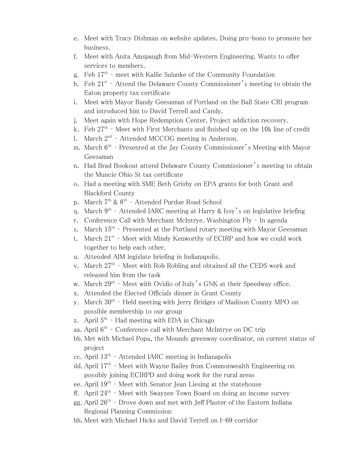- e. Meet with Tracy Dishman on website updates. Doing pro-bono to promote her business.
- f. Meet with Anita Amspaugh from Mid-Western Engineering. Wants to offer services to members.
- g. Feb 17<sup>th</sup> meet with Kallie Sulanke of the Community Foundation
- h. Feb  $21^{st}$  Attend the Delaware County Commissioner's meeting to obtain the Eaton property tax certificate
- i. Meet with Mayor Randy Geesaman of Portland on the Ball State CRI program and introduced him to David Terrell and Candy.
- j. Meet again with Hope Redemption Center. Project addiction recovery.
- k. Feb 27<sup>th</sup> Meet with First Merchants and finished up on the 10k line of credit
- l. March 2<sup>nd</sup> Attended MCCOG meeting in Anderson.
- m. March  $6^{\text{th}}$  Presented at the Jay County Commissioner's Meeting with Mayor Geesaman
- n. Had Brad Bookout attend Delaware County Commissioner's meeting to obtain the Muncie Ohio St tax certificate
- o. Had a meeting with SME Beth Grisby on EPA grants for both Grant and Blackford County
- p. March 7<sup>th</sup> & 8<sup>th</sup> Attended Purdue Road School
- q. March  $9^{th}$  Attended IARC meeting at Harry & Issy's on legislative briefing
- r. Conference Call with Merchant McIntrye. Washington Fly In agenda
- s. March 15<sup>th</sup> Presented at the Portland rotary meeting with Mayor Geesaman
- t. March  $21^{st}$  Meet with Mindy Kenworthy of ECIRP and how we could work together to help each other.
- u. Attended AIM legislate briefing in Indianapolis.
- v. March 27<sup>th</sup> Meet with Rob Robling and obtained all the CEDS work and released him from the task
- w. March 29<sup>th</sup> Meet with Ovidio of Italy's GNK at their Speedway office.
- x. Attended the Elected Officials dinner in Grant County
- y. March 30<sup>th</sup> Held meeting with Jerry Bridges of Madison County MPO on possible membership to our group
- z. April 5<sup>th</sup> Had meeting with EDA in Chicago
- aa. April 6<sup>th</sup> Conference call with Merchant McIntrye on DC trip
- bb. Met with Michael Popa, the Mounds greenway coordinator, on current status of project
- cc. April 13<sup>th</sup> Attended IARC meeting in Indianapolis
- dd. April 17<sup>th</sup> Meet with Wayne Bailey from Commonwealth Engineering on possibly joining ECIRPD and doing work for the rural areas
- ee. April 19<sup>th</sup> Meet with Senator Jean Liesing at the statehouse
- ff. April 24<sup>th</sup> Meet with Swayzee Town Board on doing an income survey
- gg. April  $26<sup>th</sup>$  Drove down and met with Jeff Plaster of the Eastern Indiana Regional Planning Commission
- hh. Meet with Michael Hicks and David Terrell on I-69 corridor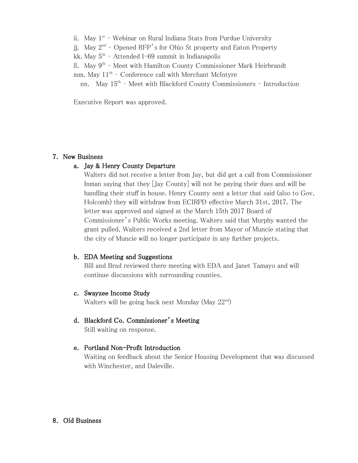- ii. May 1<sup>st</sup> Webinar on Rural Indiana Stats from Purdue University
- jj. May 2<sup>nd</sup> Opened RFP's for Ohio St property and Eaton Property
- kk. May 5<sup>th</sup> Attended I-69 summit in Indianapolis
- ll. May 9<sup>th</sup> Meet with Hamilton County Commissioner Mark Heirbrandt
- mm. May 11<sup>th</sup> Conference call with Merchant McIntyre

nn. May 15<sup>th</sup> - Meet with Blackford County Commissioners - Introduction

Executive Report was approved.

#### 7. New Business

#### a. Jay & Henry County Departure

Walters did not receive a letter from Jay, but did get a call from Commissioner Inman saying that they [Jay County] will not be paying their dues and will be handling their stuff in house. Henry County sent a letter that said (also to Gov. Holcomb) they will withdraw from ECIRPD effective March 31st, 2017. The letter was approved and signed at the March 15th 2017 Board of Commissioner's Public Works meeting. Walters said that Murphy wanted the grant pulled. Walters received a 2nd letter from Mayor of Muncie stating that the city of Muncie will no longer participate in any further projects.

#### b. EDA Meeting and Suggestions

Bill and Brad reviewed there meeting with EDA and Janet Tamayo and will continue discussions with surrounding counties.

#### c. Swayzee Income Study

Walters will be going back next Monday (May 22nd)

#### d. Blackford Co. Commissioner's Meeting

Still waiting on response.

#### e. Portland Non-Profit Introduction

Waiting on feedback about the Senior Housing Development that was discussed with Winchester, and Daleville.

#### 8. Old Business